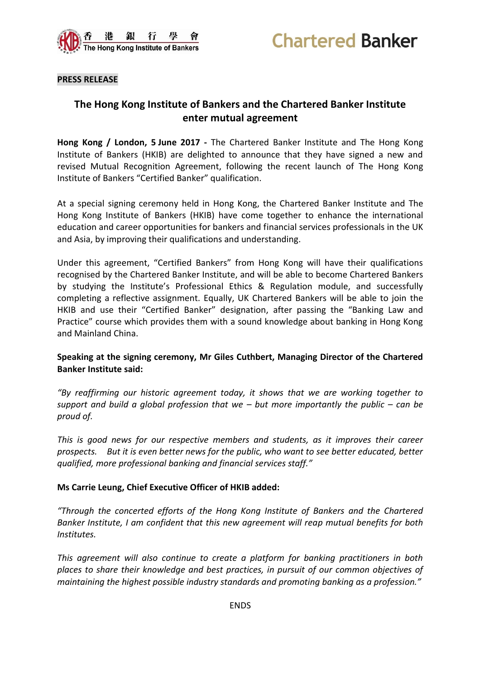



#### **PRESS RELEASE**

# **The Hong Kong Institute of Bankers and the Chartered Banker Institute enter mutual agreement**

**Hong Kong / London, 5 June 2017 -** The Chartered Banker Institute and The Hong Kong Institute of Bankers (HKIB) are delighted to announce that they have signed a new and revised Mutual Recognition Agreement, following the recent launch of The Hong Kong Institute of Bankers "Certified Banker" qualification.

At a special signing ceremony held in Hong Kong, the Chartered Banker Institute and The Hong Kong Institute of Bankers (HKIB) have come together to enhance the international education and career opportunities for bankers and financial services professionals in the UK and Asia, by improving their qualifications and understanding.

Under this agreement, "Certified Bankers" from Hong Kong will have their qualifications recognised by the Chartered Banker Institute, and will be able to become Chartered Bankers by studying the Institute's Professional Ethics & Regulation module, and successfully completing a reflective assignment. Equally, UK Chartered Bankers will be able to join the HKIB and use their "Certified Banker" designation, after passing the "Banking Law and Practice" course which provides them with a sound knowledge about banking in Hong Kong and Mainland China.

### **Speaking at the signing ceremony, Mr Giles Cuthbert, Managing Director of the Chartered Banker Institute said:**

*"By reaffirming our historic agreement today, it shows that we are working together to support and build a global profession that we – but more importantly the public – can be proud of.*

*This is good news for our respective members and students, as it improves their career prospects. But it is even better news for the public, who want to see better educated, better qualified, more professional banking and financial services staff."*

#### **Ms Carrie Leung, Chief Executive Officer of HKIB added:**

*"Through the concerted efforts of the Hong Kong Institute of Bankers and the Chartered Banker Institute, I am confident that this new agreement will reap mutual benefits for both Institutes.* 

*This agreement will also continue to create a platform for banking practitioners in both places to share their knowledge and best practices, in pursuit of our common objectives of maintaining the highest possible industry standards and promoting banking as a profession."*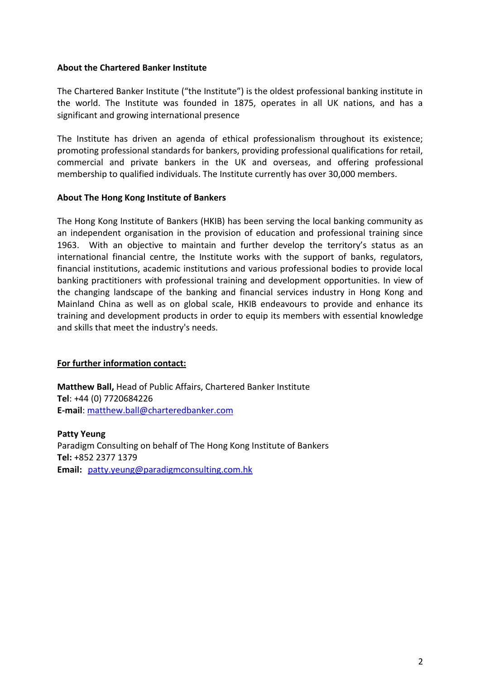### **About the Chartered Banker Institute**

The Chartered Banker Institute ("the Institute") is the oldest professional banking institute in the world. The Institute was founded in 1875, operates in all UK nations, and has a significant and growing international presence

The Institute has driven an agenda of ethical professionalism throughout its existence; promoting professional standards for bankers, providing professional qualifications for retail, commercial and private bankers in the UK and overseas, and offering professional membership to qualified individuals. The Institute currently has over 30,000 members.

### **About The Hong Kong Institute of Bankers**

The Hong Kong Institute of Bankers (HKIB) has been serving the local banking community as an independent organisation in the provision of education and professional training since 1963. With an objective to maintain and further develop the territory's status as an international financial centre, the Institute works with the support of banks, regulators, financial institutions, academic institutions and various professional bodies to provide local banking practitioners with professional training and development opportunities. In view of the changing landscape of the banking and financial services industry in Hong Kong and Mainland China as well as on global scale, HKIB endeavours to provide and enhance its training and development products in order to equip its members with essential knowledge and skills that meet the industry's needs.

## **For further information contact:**

**Matthew Ball,** Head of Public Affairs, Chartered Banker Institute **Tel**: +44 (0) 7720684226 **E-mail**: [matthew.ball@charteredbanker.com](mailto:matthew.ball@charteredbanker.com)

**Patty Yeung** Paradigm Consulting on behalf of The Hong Kong Institute of Bankers **Tel:** +852 2377 1379 **Email:** [patty.yeung@paradigmconsulting.com.hk](mailto:patty.yeung@paradigmconsulting.com.hk)